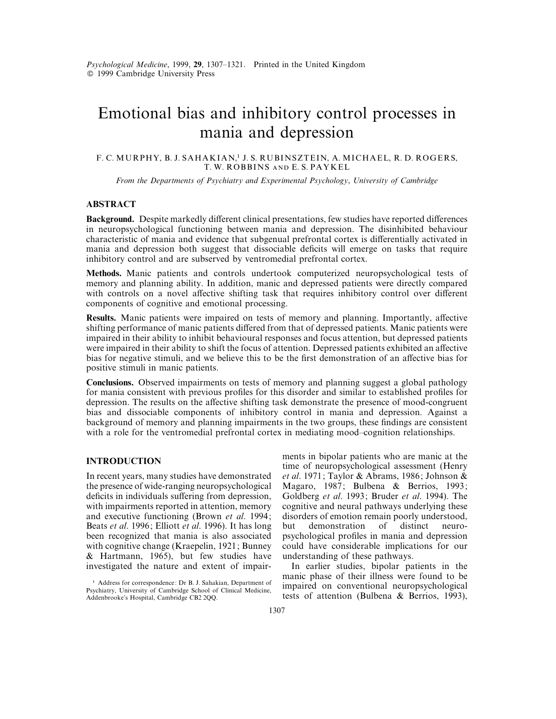# Emotional bias and inhibitory control processes in mania and depression

# F. C. MURPHY, B. J. SAHAK IAN," J. S. RUB INSZTE IN, A. M ICHAEL, R. D. ROGERS, T. W. ROBBINS AND E. S. PAYKEL

*From the Departments of Psychiatry and Experimental Psychology*, *University of Cambridge*

# **ABSTRACT**

**Background.** Despite markedly different clinical presentations, few studies have reported differences in neuropsychological functioning between mania and depression. The disinhibited behaviour characteristic of mania and evidence that subgenual prefrontal cortex is differentially activated in mania and depression both suggest that dissociable deficits will emerge on tasks that require inhibitory control and are subserved by ventromedial prefrontal cortex.

**Methods.** Manic patients and controls undertook computerized neuropsychological tests of memory and planning ability. In addition, manic and depressed patients were directly compared with controls on a novel affective shifting task that requires inhibitory control over different components of cognitive and emotional processing.

**Results.** Manic patients were impaired on tests of memory and planning. Importantly, affective shifting performance of manic patients differed from that of depressed patients. Manic patients were impaired in their ability to inhibit behavioural responses and focus attention, but depressed patients were impaired in their ability to shift the focus of attention. Depressed patients exhibited an affective bias for negative stimuli, and we believe this to be the first demonstration of an affective bias for positive stimuli in manic patients.

**Conclusions.** Observed impairments on tests of memory and planning suggest a global pathology for mania consistent with previous profiles for this disorder and similar to established profiles for depression. The results on the affective shifting task demonstrate the presence of mood-congruent bias and dissociable components of inhibitory control in mania and depression. Against a background of memory and planning impairments in the two groups, these findings are consistent with a role for the ventromedial prefrontal cortex in mediating mood–cognition relationships.

# **INTRODUCTION**

In recent years, many studies have demonstrated the presence of wide-ranging neuropsychological deficits in individuals suffering from depression, with impairments reported in attention, memory and executive functioning (Brown *et al*. 1994; Beats *et al*. 1996; Elliott *et al*. 1996). It has long been recognized that mania is also associated with cognitive change (Kraepelin, 1921; Bunney & Hartmann, 1965), but few studies have investigated the nature and extent of impairments in bipolar patients who are manic at the time of neuropsychological assessment (Henry *et al*. 1971; Taylor & Abrams, 1986; Johnson & Magaro, 1987; Bulbena & Berrios, 1993; Goldberg *et al*. 1993; Bruder *et al*. 1994). The cognitive and neural pathways underlying these disorders of emotion remain poorly understood,<br>but demonstration of distinct neurobut demonstration of psychological profiles in mania and depression could have considerable implications for our understanding of these pathways.

In earlier studies, bipolar patients in the manic phase of their illness were found to be impaired on conventional neuropsychological tests of attention (Bulbena & Berrios, 1993),

<sup>&</sup>lt;sup>1</sup> Address for correspondence: Dr B. J. Sahakian, Department of Psychiatry, University of Cambridge School of Clinical Medicine, Addenbrooke's Hospital, Cambridge CB2 2QQ.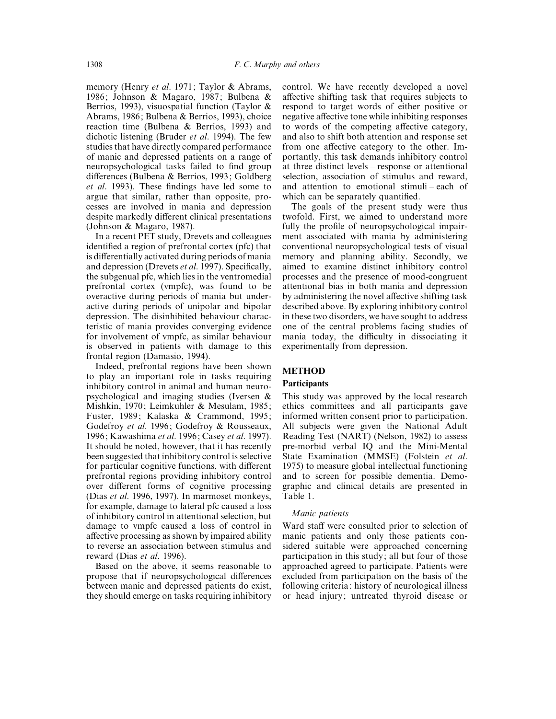memory (Henry *et al*. 1971; Taylor & Abrams, 1986; Johnson & Magaro, 1987; Bulbena & Berrios, 1993), visuospatial function (Taylor & Abrams, 1986; Bulbena & Berrios, 1993), choice reaction time (Bulbena & Berrios, 1993) and dichotic listening (Bruder *et al*. 1994). The few studies that have directly compared performance of manic and depressed patients on a range of neuropsychological tasks failed to find group differences (Bulbena & Berrios, 1993; Goldberg *et al*. 1993). These findings have led some to argue that similar, rather than opposite, processes are involved in mania and depression despite markedly different clinical presentations (Johnson & Magaro, 1987).

In a recent PET study, Drevets and colleagues identified a region of prefrontal cortex (pfc) that is differentially activated during periods of mania and depression (Drevets *et al*. 1997). Specifically, the subgenual pfc, which lies in the ventromedial prefrontal cortex (vmpfc), was found to be overactive during periods of mania but underactive during periods of unipolar and bipolar depression. The disinhibited behaviour characteristic of mania provides converging evidence for involvement of vmpfc, as similar behaviour is observed in patients with damage to this frontal region (Damasio, 1994).

Indeed, prefrontal regions have been shown to play an important role in tasks requiring inhibitory control in animal and human neuropsychological and imaging studies (Iversen & Mishkin, 1970; Leimkuhler & Mesulam, 1985; Fuster, 1989; Kalaska & Crammond, 1995; Godefroy *et al*. 1996; Godefroy & Rousseaux, 1996; Kawashima *et al*. 1996; Casey *et al*. 1997). It should be noted, however, that it has recently been suggested that inhibitory control is selective for particular cognitive functions, with different prefrontal regions providing inhibitory control over different forms of cognitive processing (Dias *et al*. 1996, 1997). In marmoset monkeys, for example, damage to lateral pfc caused a loss of inhibitory control in attentional selection, but damage to vmpfc caused a loss of control in affective processing as shown by impaired ability to reverse an association between stimulus and reward (Dias *et al*. 1996).

Based on the above, it seems reasonable to propose that if neuropsychological differences between manic and depressed patients do exist, they should emerge on tasks requiring inhibitory control. We have recently developed a novel affective shifting task that requires subjects to respond to target words of either positive or negative affective tone while inhibiting responses to words of the competing affective category, and also to shift both attention and response set from one affective category to the other. Importantly, this task demands inhibitory control at three distinct levels – response or attentional selection, association of stimulus and reward, and attention to emotional stimuli – each of which can be separately quantified.

The goals of the present study were thus twofold. First, we aimed to understand more fully the profile of neuropsychological impairment associated with mania by administering conventional neuropsychological tests of visual memory and planning ability. Secondly, we aimed to examine distinct inhibitory control processes and the presence of mood-congruent attentional bias in both mania and depression by administering the novel affective shifting task described above. By exploring inhibitory control in these two disorders, we have sought to address one of the central problems facing studies of mania today, the difficulty in dissociating it experimentally from depression.

## **METHOD**

## **Participants**

This study was approved by the local research ethics committees and all participants gave informed written consent prior to participation. All subjects were given the National Adult Reading Test (NART) (Nelson, 1982) to assess pre-morbid verbal IQ and the Mini-Mental State Examination (MMSE) (Folstein *et al*. 1975) to measure global intellectual functioning and to screen for possible dementia. Demographic and clinical details are presented in Table 1.

## *Manic patients*

Ward staff were consulted prior to selection of manic patients and only those patients considered suitable were approached concerning participation in this study; all but four of those approached agreed to participate. Patients were excluded from participation on the basis of the following criteria: history of neurological illness or head injury; untreated thyroid disease or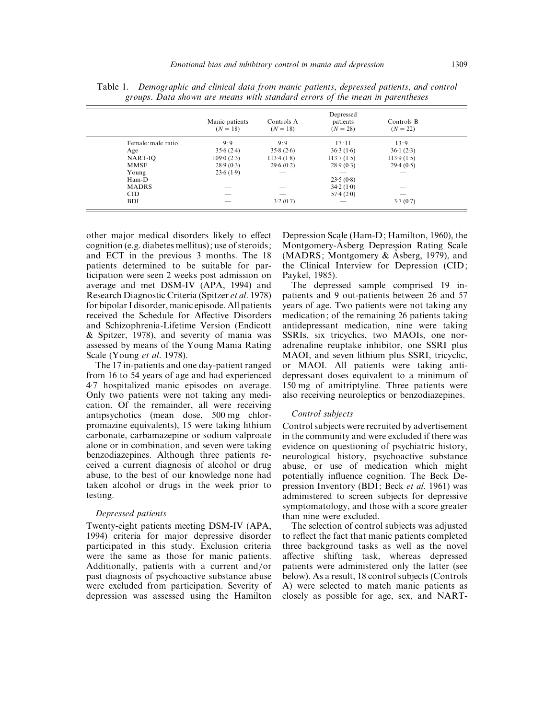|                    | Manic patients | Controls A | Depressed<br>patients | Controls B |
|--------------------|----------------|------------|-----------------------|------------|
|                    | $(N = 18)$     | $(N = 18)$ | $(N = 28)$            | $(N = 22)$ |
| Female: male ratio | 9:9            | 9:9        | 17:11                 | 13:9       |
| Age                | 35.6(2.4)      | 35.8(2.6)  | 36.3(1.6)             | 36.1(2.3)  |
| NART-IQ            | 109.0(2.3)     | 113.4(1.8) | 113.7(1.5)            | 113.9(1.5) |
| <b>MMSE</b>        | 28.9(0.3)      | 29.6(0.2)  | 28.9(0.3)             | 29.4(0.5)  |
| Young              | 23.6(1.9)      |            |                       |            |
| Ham-D              |                |            | 23.5(0.8)             |            |
| <b>MADRS</b>       |                |            | 34.2(1.0)             |            |
| <b>CID</b>         |                |            | 57.4(2.0)             |            |
| <b>BDI</b>         |                | 3.2(0.7)   |                       | 3.7(0.7)   |

Table 1. *Demographic and clinical data from manic patients*, *depressed patients*, *and control groups*. *Data shown are means with standard errors of the mean in parentheses*

other major medical disorders likely to effect cognition (e.g. diabetes mellitus); use of steroids; and ECT in the previous 3 months. The 18 patients determined to be suitable for participation were seen 2 weeks post admission on average and met DSM-IV (APA, 1994) and Research Diagnostic Criteria (Spitzer *et al*. 1978) for bipolar I disorder, manic episode. All patients received the Schedule for Affective Disorders and Schizophrenia-Lifetime Version (Endicott & Spitzer, 1978), and severity of mania was assessed by means of the Young Mania Rating Scale (Young *et al*. 1978).

The 17 in-patients and one day-patient ranged from 16 to 54 years of age and had experienced 4±7 hospitalized manic episodes on average. Only two patients were not taking any medication. Of the remainder, all were receiving antipsychotics (mean dose, 500 mg chlorpromazine equivalents), 15 were taking lithium carbonate, carbamazepine or sodium valproate alone or in combination, and seven were taking benzodiazepines. Although three patients received a current diagnosis of alcohol or drug abuse, to the best of our knowledge none had taken alcohol or drugs in the week prior to testing.

## *Depressed patients*

Twenty-eight patients meeting DSM-IV (APA, 1994) criteria for major depressive disorder participated in this study. Exclusion criteria were the same as those for manic patients. Additionally, patients with a current and/or past diagnosis of psychoactive substance abuse were excluded from participation. Severity of depression was assessed using the Hamilton Depression Scale (Ham-D; Hamilton, 1960), the Montgomery-Asberg Depression Rating Scale (MADRS; Montgomery  $& Åsberg, 1979$ ), and the Clinical Interview for Depression (CID; Paykel, 1985).

The depressed sample comprised 19 inpatients and 9 out-patients between 26 and 57 years of age. Two patients were not taking any medication; of the remaining 26 patients taking antidepressant medication, nine were taking SSRIs, six tricyclics, two MAOIs, one noradrenaline reuptake inhibitor, one SSRI plus MAOI, and seven lithium plus SSRI, tricyclic, or MAOI. All patients were taking antidepressant doses equivalent to a minimum of 150 mg of amitriptyline. Three patients were also receiving neuroleptics or benzodiazepines.

## *Control subjects*

Control subjects were recruited by advertisement in the community and were excluded if there was evidence on questioning of psychiatric history, neurological history, psychoactive substance abuse, or use of medication which might potentially influence cognition. The Beck Depression Inventory (BDI; Beck *et al*. 1961) was administered to screen subjects for depressive symptomatology, and those with a score greater than nine were excluded.

The selection of control subjects was adjusted to reflect the fact that manic patients completed three background tasks as well as the novel affective shifting task, whereas depressed patients were administered only the latter (see below). As a result, 18 control subjects (Controls A) were selected to match manic patients as closely as possible for age, sex, and NART-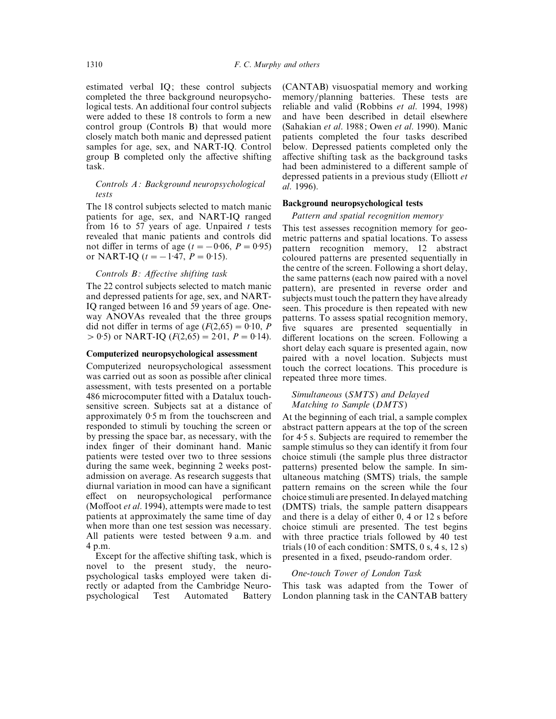estimated verbal IQ; these control subjects completed the three background neuropsychological tests. An additional four control subjects were added to these 18 controls to form a new control group (Controls B) that would more closely match both manic and depressed patient samples for age, sex, and NART-IQ. Control group B completed only the affective shifting task.

## *Controls A : Background neuropsychological tests*

The 18 control subjects selected to match manic patients for age, sex, and NART-IQ ranged from 16 to 57 years of age. Unpaired *t* tests revealed that manic patients and controls did not differ in terms of age ( $t = -0.06$ ,  $P = 0.95$ ) or NART-IQ ( $t = -1.47$ ,  $P = 0.15$ ).

#### *Controls B : Affective shifting task*

The 22 control subjects selected to match manic and depressed patients for age, sex, and NART-IQ ranged between 16 and 59 years of age. Oneway ANOVAs revealed that the three groups did not differ in terms of age  $(F(2,65) = 0.10, P)$  $> 0.5$ ) or NART-IQ ( $F(2,65) = 2.01$ ,  $P = 0.14$ ).

## **Computerized neuropsychological assessment**

Computerized neuropsychological assessment was carried out as soon as possible after clinical assessment, with tests presented on a portable 486 microcomputer fitted with a Datalux touchsensitive screen. Subjects sat at a distance of approximately 0.5 m from the touchscreen and responded to stimuli by touching the screen or by pressing the space bar, as necessary, with the index finger of their dominant hand. Manic patients were tested over two to three sessions during the same week, beginning 2 weeks postadmission on average. As research suggests that diurnal variation in mood can have a significant effect on neuropsychological performance (Moffoot *et al*. 1994), attempts were made to test patients at approximately the same time of day when more than one test session was necessary. All patients were tested between 9 a.m. and 4 p.m.

Except for the affective shifting task, which is novel to the present study, the neuropsychological tasks employed were taken directly or adapted from the Cambridge Neuropsychological Test Automated Battery (CANTAB) visuospatial memory and working memory/planning batteries. These tests are reliable and valid (Robbins *et al*. 1994, 1998) and have been described in detail elsewhere (Sahakian *et al*. 1988; Owen *et al*. 1990). Manic patients completed the four tasks described below. Depressed patients completed only the affective shifting task as the background tasks had been administered to a different sample of depressed patients in a previous study (Elliott *et al*. 1996).

# **Background neuropsychological tests**

## *Pattern and spatial recognition memory*

This test assesses recognition memory for geometric patterns and spatial locations. To assess pattern recognition memory, 12 abstract coloured patterns are presented sequentially in the centre of the screen. Following a short delay, the same patterns (each now paired with a novel pattern), are presented in reverse order and subjects must touch the pattern they have already seen. This procedure is then repeated with new patterns. To assess spatial recognition memory, five squares are presented sequentially in different locations on the screen. Following a short delay each square is presented again, now paired with a novel location. Subjects must touch the correct locations. This procedure is repeated three more times.

# *Simultaneous* (*SMTS*) *and Delayed Matching to Sample* (*DMTS*)

At the beginning of each trial, a sample complex abstract pattern appears at the top of the screen for 4±5 s. Subjects are required to remember the sample stimulus so they can identify it from four choice stimuli (the sample plus three distractor patterns) presented below the sample. In simultaneous matching (SMTS) trials, the sample pattern remains on the screen while the four choice stimuli are presented. In delayed matching (DMTS) trials, the sample pattern disappears and there is a delay of either 0, 4 or 12 s before choice stimuli are presented. The test begins with three practice trials followed by 40 test trials (10 of each condition: SMTS,  $0 \text{ s}, 4 \text{ s}, 12 \text{ s}$ ) presented in a fixed, pseudo-random order.

## *One*-*touch Tower of London Task*

This task was adapted from the Tower of London planning task in the CANTAB battery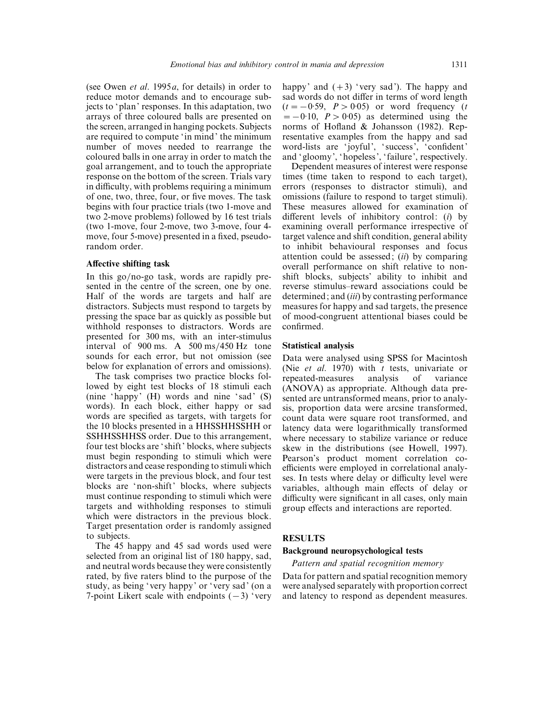(see Owen *et al*. 1995*a*, for details) in order to reduce motor demands and to encourage subjects to 'plan' responses. In this adaptation, two arrays of three coloured balls are presented on the screen, arranged in hanging pockets. Subjects are required to compute 'in mind' the minimum number of moves needed to rearrange the coloured balls in one array in order to match the goal arrangement, and to touch the appropriate response on the bottom of the screen. Trials vary in difficulty, with problems requiring a minimum of one, two, three, four, or five moves. The task begins with four practice trials (two 1-move and two 2-move problems) followed by 16 test trials (two 1-move, four 2-move, two 3-move, four 4 move, four 5-move) presented in a fixed, pseudorandom order.

## **Affective shifting task**

In this  $\text{go/no-go task}$ , words are rapidly presented in the centre of the screen, one by one. Half of the words are targets and half are distractors. Subjects must respond to targets by pressing the space bar as quickly as possible but withhold responses to distractors. Words are presented for 300 ms, with an inter-stimulus interval of  $900 \text{ ms}$ . A  $500 \text{ ms}/450 \text{ Hz}$  tone sounds for each error, but not omission (see below for explanation of errors and omissions).

The task comprises two practice blocks followed by eight test blocks of 18 stimuli each (nine 'happy'  $(H)$  words and nine 'sad'  $(S)$ words). In each block, either happy or sad words are specified as targets, with targets for the 10 blocks presented in a HHSSHHSSHH or SSHHSSHHSS order. Due to this arrangement, four test blocks are ' shift' blocks, where subjects must begin responding to stimuli which were distractors and cease responding to stimuli which were targets in the previous block, and four test blocks are 'non-shift' blocks, where subjects must continue responding to stimuli which were targets and withholding responses to stimuli which were distractors in the previous block. Target presentation order is randomly assigned to subjects.

The 45 happy and 45 sad words used were selected from an original list of 180 happy, sad, and neutral words because they were consistently rated, by five raters blind to the purpose of the study, as being 'very happy' or 'very sad' (on a 7-point Likert scale with endpoints  $(-3)$  'very

happy' and  $(+3)$  'very sad'). The happy and sad words do not differ in terms of word length  $(t = -0.59, P > 0.05)$  or word frequency (*t*  $=$  -0.10, *P* > 0.05) as determined using the norms of Hofland & Johansson (1982). Representative examples from the happy and sad word-lists are 'joyful', 'success', 'confident' and 'gloomy', 'hopeless', 'failure', respectively.

Dependent measures of interest were response times (time taken to respond to each target), errors (responses to distractor stimuli), and omissions (failure to respond to target stimuli). These measures allowed for examination of different levels of inhibitory control: (*i*) by examining overall performance irrespective of target valence and shift condition, general ability to inhibit behavioural responses and focus attention could be assessed; (*ii*) by comparing overall performance on shift relative to nonshift blocks, subjects' ability to inhibit and reverse stimulus–reward associations could be determined; and (*iii*) by contrasting performance measures for happy and sad targets, the presence of mood-congruent attentional biases could be confirmed.

## **Statistical analysis**

Data were analysed using SPSS for Macintosh (Nie *et al*. 1970) with *t* tests, univariate or repeated-measures analysis of variance (ANOVA) as appropriate. Although data presented are untransformed means, prior to analysis, proportion data were arcsine transformed, count data were square root transformed, and latency data were logarithmically transformed where necessary to stabilize variance or reduce skew in the distributions (see Howell, 1997). Pearson's product moment correlation coefficients were employed in correlational analyses. In tests where delay or difficulty level were variables, although main effects of delay or difficulty were significant in all cases, only main group effects and interactions are reported.

## **RESULTS**

# **Background neuropsychological tests**

*Pattern and spatial recognition memory*

Data for pattern and spatial recognition memory were analysed separately with proportion correct and latency to respond as dependent measures.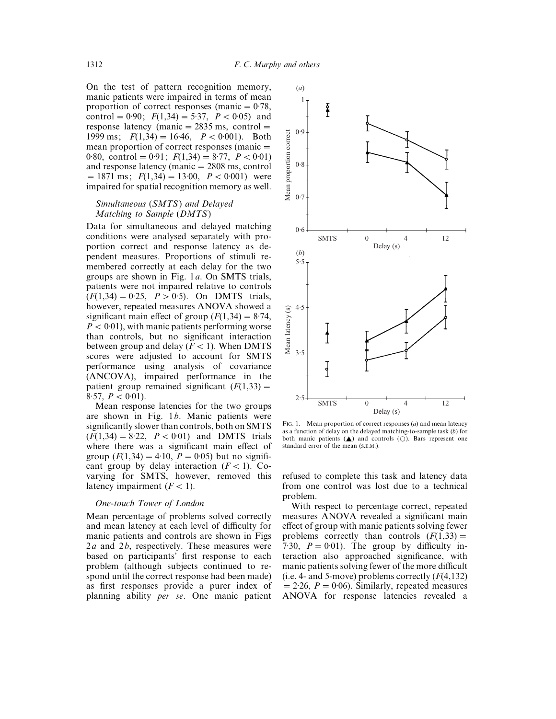On the test of pattern recognition memory, manic patients were impaired in terms of mean proportion of correct responses (manic  $=0.78$ , control = 0.90;  $F(1,34) = 5.37$ ,  $P < 0.05$ ) and response latency (manic  $=2835$  ms, control  $=$ 1999 ms:  $F(1,34) = 16.46$ ,  $P < 0.001$ ). Both mean proportion of correct responses (manic  $=$ 0.80, control = 0.91;  $F(1,34) = 8.77$ ,  $P < 0.01$ ) and response latency (manic  $=$  2808 ms, control  $= 1871 \text{ ms}; \ F(1,34) = 13.00, \ P < 0.001$ ) were impaired for spatial recognition memory as well.

# *Simultaneous* (*SMTS*) *and Delayed Matching to Sample* (*DMTS*)

Data for simultaneous and delayed matching conditions were analysed separately with proportion correct and response latency as dependent measures. Proportions of stimuli remembered correctly at each delay for the two groups are shown in Fig. 1*a*. On SMTS trials, patients were not impaired relative to controls  $(F(1,34) = 0.25, P > 0.5)$ . On DMTS trials, however, repeated measures ANOVA showed a significant main effect of group  $(F(1,34) = 8.74,$  $P < 0.01$ ), with manic patients performing worse than controls, but no significant interaction between group and delay  $(F < 1)$ . When DMTS scores were adjusted to account for SMTS performance using analysis of covariance (ANCOVA), impaired performance in the patient group remained significant  $(F(1,33) =$  $8.57, P < 0.01$ ).

Mean response latencies for the two groups are shown in Fig. 1*b*. Manic patients were significantly slower than controls, both on SMTS  $(F(1,34) = 8.22, P < 0.01)$  and DMTS trials where there was a significant main effect of group  $(F(1,34) = 4.10, P = 0.05)$  but no significant group by delay interaction  $(F < 1)$ . Covarying for SMTS, however, removed this latency impairment  $(F < 1)$ .

## *One*-*touch Tower of London*

Mean percentage of problems solved correctly and mean latency at each level of difficulty for manic patients and controls are shown in Figs 2*a* and 2*b*, respectively. These measures were based on participants' first response to each problem (although subjects continued to respond until the correct response had been made) as first responses provide a purer index of planning ability *per se*. One manic patient



FIG. 1. Mean proportion of correct responses (*a*) and mean latency as a function of delay on the delayed matching-to-sample task (*b*) for both manic patients  $($   $)$  and controls  $($  $)$ . Bars represent one standard error of the mean (S.E.M.).

refused to complete this task and latency data from one control was lost due to a technical problem.

With respect to percentage correct, repeated measures ANOVA revealed a significant main effect of group with manic patients solving fewer problems correctly than controls  $(F(1,33) =$ 7.30,  $P = 0.01$ ). The group by difficulty interaction also approached significance, with manic patients solving fewer of the more difficult (i.e. 4- and 5-move) problems correctly (*F*(4,132)  $= 2.26$ ,  $P = 0.06$ ). Similarly, repeated measures ANOVA for response latencies revealed a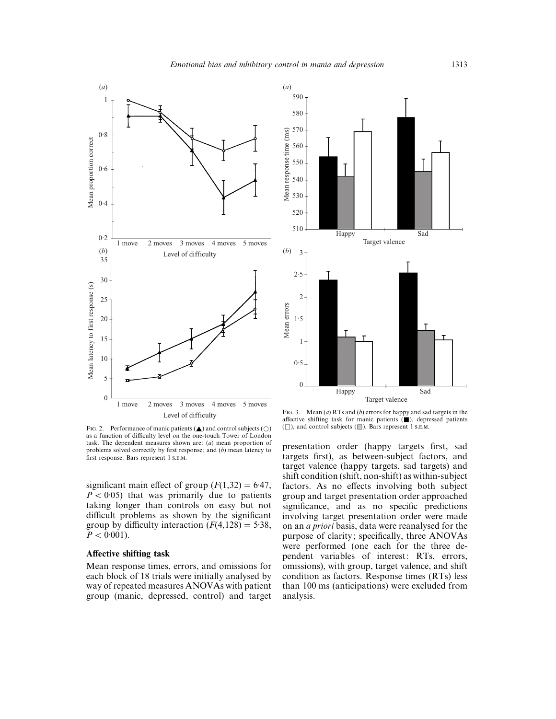

FIG. 2. Performance of manic patients  $(\triangle)$  and control subjects  $(\bigcirc)$ as a function of difficulty level on the one-touch Tower of London task. The dependent measures shown are: (*a*) mean proportion of problems solved correctly by first response; and (*b*) mean latency to first response. Bars represent 1 s.E.M.

significant main effect of group  $(F(1,32) = 6.47)$ ,  $P$  < 0.05) that was primarily due to patients taking longer than controls on easy but not difficult problems as shown by the significant group by difficulty interaction  $(F(4,128) = 5.38,$  $P < 0.001$ ).

# **Affective shifting task**

Mean response times, errors, and omissions for each block of 18 trials were initially analysed by way of repeated measures ANOVAs with patient group (manic, depressed, control) and target



FIG. 3. Mean  $(a)$  RTs and  $(b)$  errors for happy and sad targets in the affective shifting task for manic patients  $(\blacksquare)$ , depressed patients  $(\Box)$ , and control subjects ( $\Box$ ). Bars represent 1 s.e.m.

presentation order (happy targets first, sad targets first), as between-subject factors, and target valence (happy targets, sad targets) and shift condition (shift, non-shift) as within-subject factors. As no effects involving both subject group and target presentation order approached significance, and as no specific predictions involving target presentation order were made on an *a priori* basis, data were reanalysed for the purpose of clarity; specifically, three ANOVAs were performed (one each for the three dependent variables of interest: RTs, errors, omissions), with group, target valence, and shift condition as factors. Response times (RTs) less than 100 ms (anticipations) were excluded from analysis.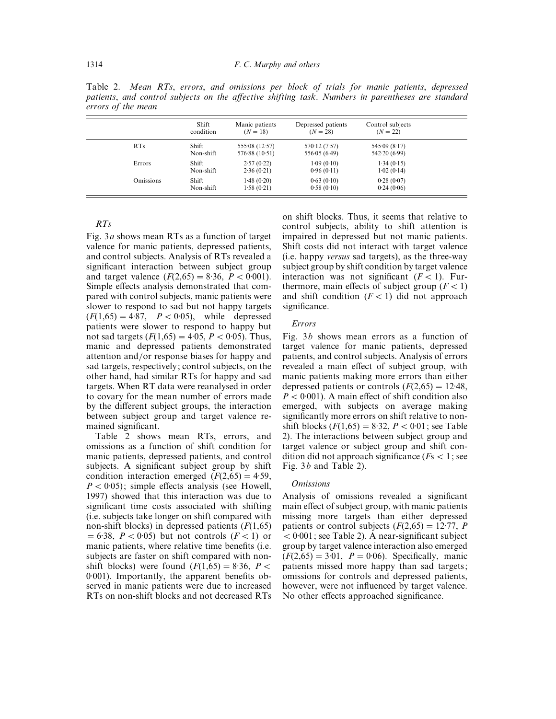Table 2. *Mean RTs*, *errors*, *and omissions per block of trials for manic patients*, *depressed patients*, *and control subjects on the affective shifting task*. *Numbers in parentheses are standard errors of the mean*

|           | Shift<br>condition        | Manic patients<br>$(N = 18)$    | Depressed patients<br>$(N = 28)$ | Control subjects<br>$(N = 22)$ |  |
|-----------|---------------------------|---------------------------------|----------------------------------|--------------------------------|--|
| RTs       | <b>Shift</b><br>Non-shift | 555.08 (12.57)<br>576.88(10.51) | 570.12(7.57)<br>556.05(6.49)     | 545.09(8.17)<br>542.20(6.99)   |  |
| Errors    | <b>Shift</b><br>Non-shift | 2.57(0.22)<br>2.36(0.21)        | 1.09(0.10)<br>0.96(0.11)         | 1.34(0.15)<br>1.02(0.14)       |  |
| Omissions | Shift<br>Non-shift        | 1.48(0.20)<br>1.58(0.21)        | 0.63(0.10)<br>0.58(0.10)         | 0.28(0.07)<br>0.24(0.06)       |  |

*RTs*

Fig. 3*a* shows mean RTs as a function of target valence for manic patients, depressed patients, and control subjects. Analysis of RTs revealed a significant interaction between subject group and target valence  $(F(2,65) = 8.36, P < 0.001)$ . Simple effects analysis demonstrated that compared with control subjects, manic patients were slower to respond to sad but not happy targets  $(F(1,65) = 4.87, P < 0.05)$ , while depressed patients were slower to respond to happy but not sad targets  $(F(1,65) = 4.05, P < 0.05)$ . Thus, manic and depressed patients demonstrated attention and/or response biases for happy and sad targets, respectively; control subjects, on the other hand, had similar RTs for happy and sad targets. When RT data were reanalysed in order to covary for the mean number of errors made by the different subject groups, the interaction between subject group and target valence remained significant.

Table 2 shows mean RTs, errors, and omissions as a function of shift condition for manic patients, depressed patients, and control subjects. A significant subject group by shift condition interaction emerged  $(F(2,65) = 4.59)$ ,  $P < 0.05$ ); simple effects analysis (see Howell, 1997) showed that this interaction was due to significant time costs associated with shifting (i.e. subjects take longer on shift compared with non-shift blocks) in depressed patients (*F*(1,65)  $=6.38$ ,  $P < 0.05$ ) but not controls ( $F < 1$ ) or manic patients, where relative time benefits (i.e. subjects are faster on shift compared with nonshift blocks) were found  $(F(1,65) = 8.36, P <$ 0.001). Importantly, the apparent benefits observed in manic patients were due to increased RTs on non-shift blocks and not decreased RTs

on shift blocks. Thus, it seems that relative to control subjects, ability to shift attention is impaired in depressed but not manic patients. Shift costs did not interact with target valence (i.e. happy *versus* sad targets), as the three-way subject group by shift condition by target valence interaction was not significant  $(F < 1)$ . Furthermore, main effects of subject group  $(F < 1)$ and shift condition  $(F < 1)$  did not approach significance.

# *Errors*

Fig. 3*b* shows mean errors as a function of target valence for manic patients, depressed patients, and control subjects. Analysis of errors revealed a main effect of subject group, with manic patients making more errors than either depressed patients or controls  $(F(2,65) = 12.48$ ,  $P < 0.001$ ). A main effect of shift condition also emerged, with subjects on average making significantly more errors on shift relative to nonshift blocks  $(F(1,65) = 8.32, P < 0.01$ ; see Table 2). The interactions between subject group and target valence or subject group and shift condition did not approach significance ( $Fs < 1$ ; see Fig. 3*b* and Table 2).

#### *Omissions*

Analysis of omissions revealed a significant main effect of subject group, with manic patients missing more targets than either depressed patients or control subjects  $(F(2,65) = 12.77, P$  $< 0.001$ ; see Table 2). A near-significant subject group by target valence interaction also emerged  $(F(2,65) = 3.01, P = 0.06)$ . Specifically, manic patients missed more happy than sad targets; omissions for controls and depressed patients, however, were not influenced by target valence. No other effects approached significance.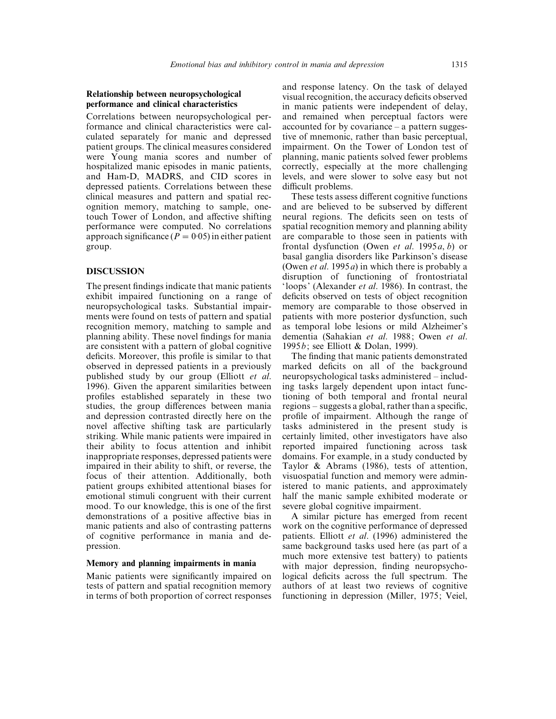# **Relationship between neuropsychological performance and clinical characteristics**

Correlations between neuropsychological performance and clinical characteristics were calculated separately for manic and depressed patient groups. The clinical measures considered were Young mania scores and number of hospitalized manic episodes in manic patients, and Ham-D, MADRS, and CID scores in depressed patients. Correlations between these clinical measures and pattern and spatial recognition memory, matching to sample, onetouch Tower of London, and affective shifting performance were computed. No correlations approach significance ( $P = 0.05$ ) in either patient group.

# **DISCUSSION**

The present findings indicate that manic patients exhibit impaired functioning on a range of neuropsychological tasks. Substantial impairments were found on tests of pattern and spatial recognition memory, matching to sample and planning ability. These novel findings for mania are consistent with a pattern of global cognitive deficits. Moreover, this profile is similar to that observed in depressed patients in a previously published study by our group (Elliott *et al*. 1996). Given the apparent similarities between profiles established separately in these two studies, the group differences between mania and depression contrasted directly here on the novel affective shifting task are particularly striking. While manic patients were impaired in their ability to focus attention and inhibit inappropriate responses, depressed patients were impaired in their ability to shift, or reverse, the focus of their attention. Additionally, both patient groups exhibited attentional biases for emotional stimuli congruent with their current mood. To our knowledge, this is one of the first demonstrations of a positive affective bias in manic patients and also of contrasting patterns of cognitive performance in mania and depression.

## **Memory and planning impairments in mania**

Manic patients were significantly impaired on tests of pattern and spatial recognition memory in terms of both proportion of correct responses and response latency. On the task of delayed visual recognition, the accuracy deficits observed in manic patients were independent of delay, and remained when perceptual factors were accounted for by covariance – a pattern suggestive of mnemonic, rather than basic perceptual, impairment. On the Tower of London test of planning, manic patients solved fewer problems correctly, especially at the more challenging levels, and were slower to solve easy but not difficult problems.

These tests assess different cognitive functions and are believed to be subserved by different neural regions. The deficits seen on tests of spatial recognition memory and planning ability are comparable to those seen in patients with frontal dysfunction (Owen *et al*. 1995*a*, *b*) or basal ganglia disorders like Parkinson's disease (Owen *et al*. 1995*a*) in which there is probably a disruption of functioning of frontostriatal 'loops' (Alexander *et al*. 1986). In contrast, the deficits observed on tests of object recognition memory are comparable to those observed in patients with more posterior dysfunction, such as temporal lobe lesions or mild Alzheimer's dementia (Sahakian *et al*. 1988; Owen *et al*. 1995*b*; see Elliott & Dolan, 1999).

The finding that manic patients demonstrated marked deficits on all of the background neuropsychological tasks administered – including tasks largely dependent upon intact functioning of both temporal and frontal neural regions – suggests a global, rather than a specific, profile of impairment. Although the range of tasks administered in the present study is certainly limited, other investigators have also reported impaired functioning across task domains. For example, in a study conducted by Taylor & Abrams (1986), tests of attention, visuospatial function and memory were administered to manic patients, and approximately half the manic sample exhibited moderate or severe global cognitive impairment.

A similar picture has emerged from recent work on the cognitive performance of depressed patients. Elliott *et al*. (1996) administered the same background tasks used here (as part of a much more extensive test battery) to patients with major depression, finding neuropsychological deficits across the full spectrum. The authors of at least two reviews of cognitive functioning in depression (Miller, 1975; Veiel,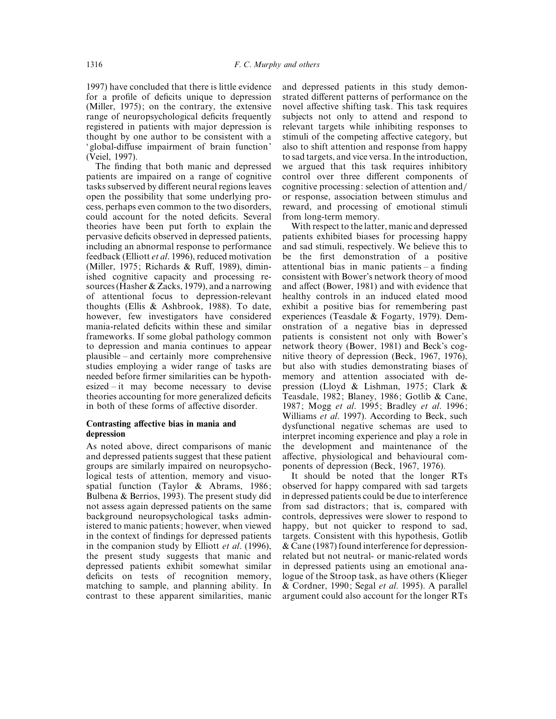1997) have concluded that there is little evidence for a profile of deficits unique to depression (Miller, 1975); on the contrary, the extensive range of neuropsychological deficits frequently registered in patients with major depression is thought by one author to be consistent with a ' global-diffuse impairment of brain function' (Veiel, 1997).

The finding that both manic and depressed patients are impaired on a range of cognitive tasks subserved by different neural regions leaves open the possibility that some underlying process, perhaps even common to the two disorders, could account for the noted deficits. Several theories have been put forth to explain the pervasive deficits observed in depressed patients, including an abnormal response to performance feedback (Elliott *et al*. 1996), reduced motivation (Miller, 1975; Richards & Ruff, 1989), diminished cognitive capacity and processing resources (Hasher & Zacks, 1979), and a narrowing of attentional focus to depression-relevant thoughts (Ellis & Ashbrook, 1988). To date, however, few investigators have considered mania-related deficits within these and similar frameworks. If some global pathology common to depression and mania continues to appear plausible – and certainly more comprehensive studies employing a wider range of tasks are needed before firmer similarities can be hypothesized – it may become necessary to devise theories accounting for more generalized deficits in both of these forms of affective disorder.

## **Contrasting affective bias in mania and depression**

As noted above, direct comparisons of manic and depressed patients suggest that these patient groups are similarly impaired on neuropsychological tests of attention, memory and visuospatial function (Taylor & Abrams, 1986; Bulbena & Berrios, 1993). The present study did not assess again depressed patients on the same background neuropsychological tasks administered to manic patients; however, when viewed in the context of findings for depressed patients in the companion study by Elliott *et al*. (1996), the present study suggests that manic and depressed patients exhibit somewhat similar deficits on tests of recognition memory, matching to sample, and planning ability. In contrast to these apparent similarities, manic and depressed patients in this study demonstrated different patterns of performance on the novel affective shifting task. This task requires subjects not only to attend and respond to relevant targets while inhibiting responses to stimuli of the competing affective category, but also to shift attention and response from happy to sad targets, and vice versa. In the introduction, we argued that this task requires inhibitory control over three different components of cognitive processing: selection of attention and/ or response, association between stimulus and reward, and processing of emotional stimuli from long-term memory.

With respect to the latter, manic and depressed patients exhibited biases for processing happy and sad stimuli, respectively. We believe this to be the first demonstration of a positive attentional bias in manic patients – a finding consistent with Bower's network theory of mood and affect (Bower, 1981) and with evidence that healthy controls in an induced elated mood exhibit a positive bias for remembering past experiences (Teasdale & Fogarty, 1979). Demonstration of a negative bias in depressed patients is consistent not only with Bower's network theory (Bower, 1981) and Beck's cognitive theory of depression (Beck, 1967, 1976), but also with studies demonstrating biases of memory and attention associated with depression (Lloyd & Lishman, 1975; Clark & Teasdale, 1982; Blaney, 1986; Gotlib & Cane, 1987; Mogg *et al*. 1995; Bradley *et al*. 1996; Williams *et al*. 1997). According to Beck, such dysfunctional negative schemas are used to interpret incoming experience and play a role in the development and maintenance of the affective, physiological and behavioural components of depression (Beck, 1967, 1976).

It should be noted that the longer RTs observed for happy compared with sad targets in depressed patients could be due to interference from sad distractors; that is, compared with controls, depressives were slower to respond to happy, but not quicker to respond to sad, targets. Consistent with this hypothesis, Gotlib & Cane (1987) found interference for depressionrelated but not neutral- or manic-related words in depressed patients using an emotional analogue of the Stroop task, as have others (Klieger & Cordner, 1990; Segal *et al*. 1995). A parallel argument could also account for the longer RTs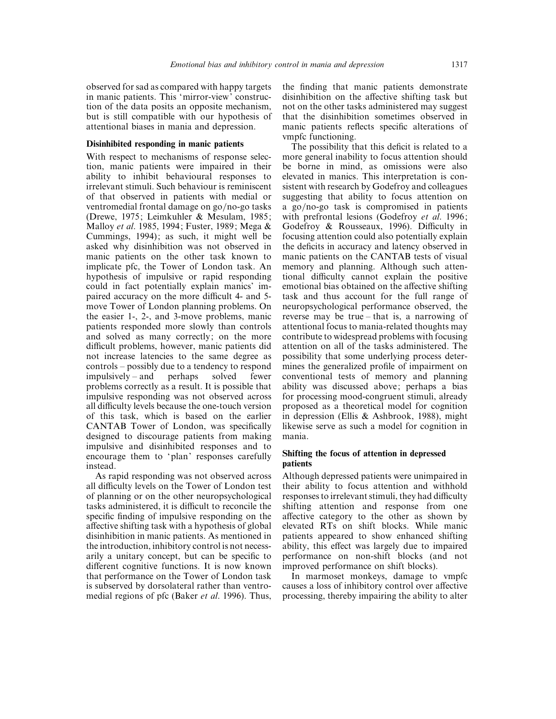observed for sad as compared with happy targets in manic patients. This 'mirror-view' construction of the data posits an opposite mechanism, but is still compatible with our hypothesis of attentional biases in mania and depression.

#### **Disinhibited responding in manic patients**

With respect to mechanisms of response selection, manic patients were impaired in their ability to inhibit behavioural responses to irrelevant stimuli. Such behaviour is reminiscent of that observed in patients with medial or ventromedial frontal damage on go/no-go tasks (Drewe, 1975; Leimkuhler & Mesulam, 1985; Malloy *et al*. 1985, 1994; Fuster, 1989; Mega & Cummings, 1994); as such, it might well be asked why disinhibition was not observed in manic patients on the other task known to implicate pfc, the Tower of London task. An hypothesis of impulsive or rapid responding could in fact potentially explain manics' impaired accuracy on the more difficult 4- and 5 move Tower of London planning problems. On the easier 1-, 2-, and 3-move problems, manic patients responded more slowly than controls and solved as many correctly; on the more difficult problems, however, manic patients did not increase latencies to the same degree as controls – possibly due to a tendency to respond impulsively – and perhaps solved fewer problems correctly as a result. It is possible that impulsive responding was not observed across all difficulty levels because the one-touch version of this task, which is based on the earlier CANTAB Tower of London, was specifically designed to discourage patients from making impulsive and disinhibited responses and to encourage them to 'plan' responses carefully instead.

As rapid responding was not observed across all difficulty levels on the Tower of London test of planning or on the other neuropsychological tasks administered, it is difficult to reconcile the specific finding of impulsive responding on the affective shifting task with a hypothesis of global disinhibition in manic patients. As mentioned in the introduction, inhibitory control is not necessarily a unitary concept, but can be specific to different cognitive functions. It is now known that performance on the Tower of London task is subserved by dorsolateral rather than ventromedial regions of pfc (Baker *et al*. 1996). Thus,

the finding that manic patients demonstrate disinhibition on the affective shifting task but not on the other tasks administered may suggest that the disinhibition sometimes observed in manic patients reflects specific alterations of vmpfc functioning.

The possibility that this deficit is related to a more general inability to focus attention should be borne in mind, as omissions were also elevated in manics. This interpretation is consistent with research by Godefroy and colleagues suggesting that ability to focus attention on a go/no-go task is compromised in patients with prefrontal lesions (Godefroy *et al*. 1996; Godefroy & Rousseaux, 1996). Difficulty in focusing attention could also potentially explain the deficits in accuracy and latency observed in manic patients on the CANTAB tests of visual memory and planning. Although such attentional difficulty cannot explain the positive emotional bias obtained on the affective shifting task and thus account for the full range of neuropsychological performance observed, the reverse may be true – that is, a narrowing of attentional focus to mania-related thoughts may contribute to widespread problems with focusing attention on all of the tasks administered. The possibility that some underlying process determines the generalized profile of impairment on conventional tests of memory and planning ability was discussed above; perhaps a bias for processing mood-congruent stimuli, already proposed as a theoretical model for cognition in depression (Ellis & Ashbrook, 1988), might likewise serve as such a model for cognition in mania.

# **Shifting the focus of attention in depressed patients**

Although depressed patients were unimpaired in their ability to focus attention and withhold responses to irrelevant stimuli, they had difficulty shifting attention and response from one affective category to the other as shown by elevated RTs on shift blocks. While manic patients appeared to show enhanced shifting ability, this effect was largely due to impaired performance on non-shift blocks (and not improved performance on shift blocks).

In marmoset monkeys, damage to vmpfc causes a loss of inhibitory control over affective processing, thereby impairing the ability to alter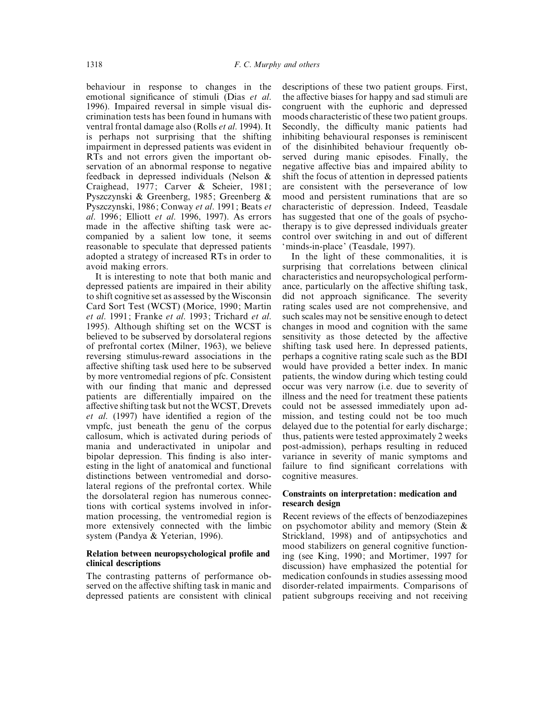behaviour in response to changes in the emotional significance of stimuli (Dias *et al*. 1996). Impaired reversal in simple visual discrimination tests has been found in humans with ventral frontal damage also (Rolls *et al*. 1994). It is perhaps not surprising that the shifting impairment in depressed patients was evident in RTs and not errors given the important observation of an abnormal response to negative feedback in depressed individuals (Nelson & Craighead, 1977; Carver & Scheier, 1981; Pyszczynski & Greenberg, 1985; Greenberg & Pyszczynski, 1986; Conway *et al*. 1991; Beats *et al*. 1996; Elliott *et al*. 1996, 1997). As errors made in the affective shifting task were accompanied by a salient low tone, it seems reasonable to speculate that depressed patients adopted a strategy of increased RTs in order to avoid making errors.

It is interesting to note that both manic and depressed patients are impaired in their ability to shift cognitive set as assessed by the Wisconsin Card Sort Test (WCST) (Morice, 1990; Martin *et al*. 1991; Franke *et al*. 1993; Trichard *et al*. 1995). Although shifting set on the WCST is believed to be subserved by dorsolateral regions of prefrontal cortex (Milner, 1963), we believe reversing stimulus-reward associations in the affective shifting task used here to be subserved by more ventromedial regions of pfc. Consistent with our finding that manic and depressed patients are differentially impaired on the affective shifting task but not the WCST, Drevets *et al*. (1997) have identified a region of the vmpfc, just beneath the genu of the corpus callosum, which is activated during periods of mania and underactivated in unipolar and bipolar depression. This finding is also interesting in the light of anatomical and functional distinctions between ventromedial and dorsolateral regions of the prefrontal cortex. While the dorsolateral region has numerous connections with cortical systems involved in information processing, the ventromedial region is more extensively connected with the limbic system (Pandya & Yeterian, 1996).

# **Relation between neuropsychological profile and clinical descriptions**

The contrasting patterns of performance observed on the affective shifting task in manic and depressed patients are consistent with clinical descriptions of these two patient groups. First, the affective biases for happy and sad stimuli are congruent with the euphoric and depressed moods characteristic of these two patient groups. Secondly, the difficulty manic patients had inhibiting behavioural responses is reminiscent of the disinhibited behaviour frequently observed during manic episodes. Finally, the negative affective bias and impaired ability to shift the focus of attention in depressed patients are consistent with the perseverance of low mood and persistent ruminations that are so characteristic of depression. Indeed, Teasdale has suggested that one of the goals of psychotherapy is to give depressed individuals greater control over switching in and out of different 'minds-in-place' (Teasdale, 1997).

In the light of these commonalities, it is surprising that correlations between clinical characteristics and neuropsychological performance, particularly on the affective shifting task, did not approach significance. The severity rating scales used are not comprehensive, and such scales may not be sensitive enough to detect changes in mood and cognition with the same sensitivity as those detected by the affective shifting task used here. In depressed patients, perhaps a cognitive rating scale such as the BDI would have provided a better index. In manic patients, the window during which testing could occur was very narrow (i.e. due to severity of illness and the need for treatment these patients could not be assessed immediately upon admission, and testing could not be too much delayed due to the potential for early discharge; thus, patients were tested approximately 2 weeks post-admission), perhaps resulting in reduced variance in severity of manic symptoms and failure to find significant correlations with cognitive measures.

## **Constraints on interpretation: medication and research design**

Recent reviews of the effects of benzodiazepines on psychomotor ability and memory (Stein & Strickland, 1998) and of antipsychotics and mood stabilizers on general cognitive functioning (see King, 1990; and Mortimer, 1997 for discussion) have emphasized the potential for medication confounds in studies assessing mood disorder-related impairments. Comparisons of patient subgroups receiving and not receiving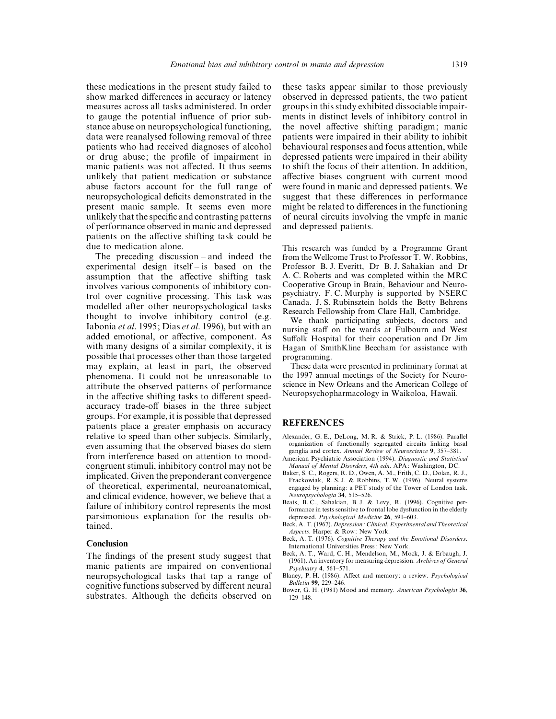these medications in the present study failed to show marked differences in accuracy or latency measures across all tasks administered. In order to gauge the potential influence of prior substance abuse on neuropsychological functioning, data were reanalysed following removal of three patients who had received diagnoses of alcohol or drug abuse; the profile of impairment in manic patients was not affected. It thus seems unlikely that patient medication or substance abuse factors account for the full range of neuropsychological deficits demonstrated in the present manic sample. It seems even more unlikely that the specific and contrasting patterns of performance observed in manic and depressed patients on the affective shifting task could be due to medication alone.

The preceding discussion – and indeed the experimental design itself – is based on the assumption that the affective shifting task involves various components of inhibitory control over cognitive processing. This task was modelled after other neuropsychological tasks thought to involve inhibitory control (e.g. Iabonia *et al*. 1995; Dias *et al*. 1996), but with an added emotional, or affective, component. As with many designs of a similar complexity, it is possible that processes other than those targeted may explain, at least in part, the observed phenomena. It could not be unreasonable to attribute the observed patterns of performance in the affective shifting tasks to different speedaccuracy trade-off biases in the three subject groups. For example, it is possible that depressed patients place a greater emphasis on accuracy relative to speed than other subjects. Similarly, even assuming that the observed biases do stem from interference based on attention to moodcongruent stimuli, inhibitory control may not be implicated. Given the preponderant convergence of theoretical, experimental, neuroanatomical, and clinical evidence, however, we believe that a failure of inhibitory control represents the most parsimonious explanation for the results obtained.

#### **Conclusion**

The findings of the present study suggest that manic patients are impaired on conventional neuropsychological tasks that tap a range of cognitive functions subserved by different neural substrates. Although the deficits observed on

these tasks appear similar to those previously observed in depressed patients, the two patient groups in this study exhibited dissociable impairments in distinct levels of inhibitory control in the novel affective shifting paradigm; manic patients were impaired in their ability to inhibit behavioural responses and focus attention, while depressed patients were impaired in their ability to shift the focus of their attention. In addition, affective biases congruent with current mood were found in manic and depressed patients. We suggest that these differences in performance might be related to differences in the functioning of neural circuits involving the vmpfc in manic and depressed patients.

This research was funded by a Programme Grant from the Wellcome Trust to Professor T. W. Robbins, Professor B. J. Everitt, Dr B. J. Sahakian and Dr A. C. Roberts and was completed within the MRC Cooperative Group in Brain, Behaviour and Neuropsychiatry. F. C. Murphy is supported by NSERC Canada. J. S. Rubinsztein holds the Betty Behrens Research Fellowship from Clare Hall, Cambridge.

We thank participating subjects, doctors and nursing staff on the wards at Fulbourn and West Suffolk Hospital for their cooperation and Dr Jim Hagan of SmithKline Beecham for assistance with programming.

These data were presented in preliminary format at the 1997 annual meetings of the Society for Neuroscience in New Orleans and the American College of Neuropsychopharmacology in Waikoloa, Hawaii.

## **REFERENCES**

- Alexander, G. E., DeLong, M. R. & Strick, P. L. (1986). Parallel organization of functionally segregated circuits linking basal ganglia and cortex. *Annual Review of Neuroscience* **9**, 357–381.
- American Psychiatric Association (1994). *Diagnostic and Statistical Manual of Mental Disorders*, *4th edn.* APA: Washington, DC.
- Baker, S. C., Rogers, R. D., Owen, A. M., Frith, C. D., Dolan, R. J., Frackowiak, R. S. J. & Robbins, T. W. (1996). Neural systems engaged by planning: a PET study of the Tower of London task. *Neuropsychologia* **34**, 515–526.
- Beats, B. C., Sahakian, B. J. & Levy, R. (1996). Cognitive performance in tests sensitive to frontal lobe dysfunction in the elderly depressed. *Psychological Medicine* **26**, 591–603.
- Beck, A. T. (1967). *Depression : Clinical*, *Experimental and Theoretical Aspects*. Harper & Row: New York.
- Beck, A. T. (1976). *Cognitive Therapy and the Emotional Disorders*. International Universities Press: New York.
- Beck, A. T., Ward, C. H., Mendelson, M., Mock, J. & Erbaugh, J. (1961). An inventory for measuring depression. *Archives of General Psychiatry* **4**, 561–571.
- Blaney, P. H. (1986). Affect and memory: a review. *Psychological Bulletin* **99**, 229–246.
- Bower, G. H. (1981) Mood and memory. *American Psychologist* **36**, 129–148.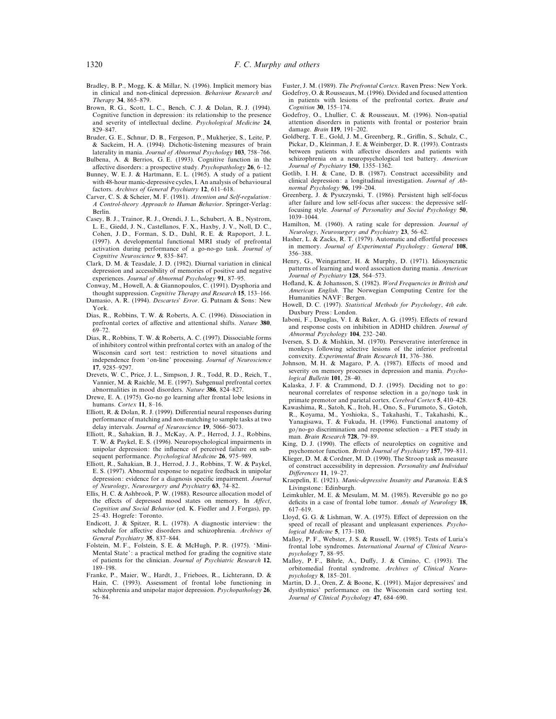- Bradley, B. P., Mogg, K. & Millar, N. (1996). Implicit memory bias in clinical and non-clinical depression. *Behaviour Research and Therapy* **34**, 865–879.
- Brown, R. G., Scott, L. C., Bench, C. J. & Dolan, R. J. (1994). Cognitive function in depression: its relationship to the presence and severity of intellectual decline. *Psychological Medicine* **24**, 829–847.
- Bruder, G. E., Schnur, D. B., Fergeson, P., Mukherjee, S., Leite, P. & Sackeim, H. A. (1994). Dichotic-listening measures of brain laterality in mania. *Journal of Abnormal Psychology* **103**, 758–766.
- Bulbena, A. & Berrios, G. E. (1993). Cognitive function in the affective disorders: a prospective study. *Psychopathology* **26**, 6–12.
- Bunney, W. E. J. & Hartmann, E. L. (1965). A study of a patient with 48-hour manic-depressive cycles, I. An analysis of behavioural factors. *Archives of General Psychiatry* **12**, 611–618.
- Carver, C. S. & Scheier, M. F. (1981). *Attention and Self-regulation : A Control-theory Approach to Human Behavior*. Springer-Verlag: Berlin.
- Casey, B. J., Trainor, R. J., Orendi, J. L., Schubert, A. B., Nystrom, L. E., Giedd, J. N., Castellanos, F. X., Haxby, J. V., Noll, D. C., Cohen, J. D., Forman, S. D., Dahl, R. E. & Rapoport, J. L. (1997). A developmental functional MRI study of prefrontal activation during performance of a go-no-go task. *Journal of Cognitive Neuroscience* **9**, 835–847.
- Clark, D. M. & Teasdale, J. D. (1982). Diurnal variation in clinical depression and accessibility of memories of positive and negative experiences. *Journal of Abnormal Psychology* **91**, 87–95.
- Conway, M., Howell, A. & Giannopoulos, C. (1991). Dysphoria and thought suppression. *Cognitive Therapy and Research* **15**, 153–166. Damasio, A. R. (1994). *Descartes*' *Error*. G. Putnam & Sons: New
- York. Dias, R., Robbins, T. W. & Roberts, A. C. (1996). Dissociation in
- prefrontal cortex of affective and attentional shifts. *Nature* **380**, 69–72.
- Dias, R., Robbins, T. W. & Roberts, A. C. (1997). Dissociable forms of inhibitory control within prefrontal cortex with an analog of the Wisconsin card sort test: restriction to novel situations and independence from 'on-line' processing. *Journal of Neuroscience* **17**, 9285–9297.
- Drevets, W. C., Price, J. L., Simpson, J. R., Todd, R. D., Reich, T., Vannier, M. & Raichle, M. E. (1997). Subgenual prefrontal cortex abnormalities in mood disorders. *Nature* **386**, 824–827.
- Drewe, E. A. (1975). Go-no go learning after frontal lobe lesions in humans. *Cortex* **11**, 8–16.
- Elliott, R. & Dolan, R. J. (1999). Differential neural responses during performance of matching and non-matching to sample tasks at two delay intervals. *Journal of Neuroscience* **19**, 5066–5073.
- Elliott, R., Sahakian, B. J., McKay, A. P., Herrod, J. J., Robbins, T. W. & Paykel, E. S. (1996). Neuropsychological impairments in unipolar depression: the influence of perceived failure on subsequent performance. *Psychological Medicine* **26**, 975–989.
- Elliott, R., Sahakian, B. J., Herrod, J. J., Robbins, T. W. & Paykel, E. S. (1997). Abnormal response to negative feedback in unipolar depression: evidence for a diagnosis specific impairment. *Journal of Neurology*, *Neurosurgery and Psychiatry* **63**, 74–82.
- Ellis, H. C. & Ashbrook, P. W. (1988). Resource allocation model of the effects of depressed mood states on memory. In *Affect*, *Cognition and Social Behavior* (ed. K. Fiedler and J. Forgas), pp. 25–43. Hogrefe: Toronto.
- Endicott, J. & Spitzer, R. L. (1978). A diagnostic interview: the schedule for affective disorders and schizophrenia. *Archives of General Psychiatry* **35**, 837–844.
- Folstein, M. F., Folstein, S. E. & McHugh, P. R. (1975). 'Mini-Mental State': a practical method for grading the cognitive state of patients for the clinician. *Journal of Psychiatric Research* **12**, 189–198.
- Franke, P., Maier, W., Hardt, J., Frieboes, R., Lichterann, D. & Hain, C. (1993). Assessment of frontal lobe functioning in schizophrenia and unipolar major depression. *Psychopathology* **26**, 76–84.
- Fuster, J. M. (1989). *The Prefrontal Cortex*. Raven Press: New York.
- Godefroy, O. & Rousseaux, M. (1996). Divided and focused attention in patients with lesions of the prefrontal cortex. *Brain and Cognition* **30**, 155–174.
- Godefroy, O., Lhullier, C. & Rousseaux, M. (1996). Non-spatial attention disorders in patients with frontal or posterior brain damage. *Brain* **119**, 191–202.
- Goldberg, T. E., Gold, J. M., Greenberg, R., Griffin, S., Schulz, C., Pickar, D., Kleinman, J. E. & Weinberger, D. R. (1993). Contrasts between patients with affective disorders and patients with schizophrenia on a neuropsychological test battery. *American Journal of Psychiatry* **150**, 1355–1362.
- Gotlib, I. H. & Cane, D. B. (1987). Construct accessibility and clinical depression: a longitudinal investigation. *Journal of Abnormal Psychology* **96**, 199–204.
- Greenberg, J. & Pyszczynski, T. (1986). Persistent high self-focus after failure and low self-focus after success: the depressive selffocusing style. *Journal of Personality and Social Psychology* **50**, 1039–1044.
- Hamilton, M. (1960). A rating scale for depression. *Journal of Neurology*, *Neurosurgery and Psychiatry* **23**, 56–62.
- Hasher, L. & Zacks, R. T. (1979). Automatic and effortful processes in memory. *Journal of Experimental Psychology : General* **108**, 356–388.
- Henry, G., Weingartner, H. & Murphy, D. (1971). Idiosyncratic patterns of learning and word association during mania. *American Journal of Psychiatry* **128**, 564–573.
- Hofland, K. & Johansson, S. (1982). *Word Frequencies in British and American English*. The Norwegian Computing Centre for the Humanities NAVF: Bergen.
- Howell, D. C. (1997). *Statistical Methods for Psychology*, *4th edn*. Duxbury Press: London.
- Iaboni, F., Douglas, V. I. & Baker, A. G. (1995). Effects of reward and response costs on inhibition in ADHD children. *Journal of Abnormal Psychology* **104**, 232–240.
- Iversen, S. D. & Mishkin, M. (1970). Perseverative interference in monkeys following selective lesions of the inferior prefrontal convexity. *Experimental Brain Research* **11**, 376–386.
- Johnson, M. H. & Magaro, P. A. (1987). Effects of mood and severity on memory processes in depression and mania. *Psychological Bulletin* **101**, 28–40.
- Kalaska, J. F. & Crammond, D. J. (1995). Deciding not to go: neuronal correlates of response selection in a go/nogo task in primate premotor and parietal cortex. *Cerebral Cortex* **5**, 410–428.
- Kawashima, R., Satoh, K., Itoh, H., Ono, S., Furumoto, S., Gotoh, R., Koyama, M., Yoshioka, S., Takahashi, T., Takahashi, K., Yanagisawa, T. & Fukuda, H. (1996). Functional anatomy of go/no-go discrimination and response selection – a PET study in man. *Brain Research* **728**, 79–89.
- King, D. J. (1990). The effects of neuroleptics on cognitive and psychomotor function. *British Journal of Psychiatry* **157**, 799–811.
- Klieger, D. M. & Cordner, M. D. (1990). The Stroop task as measure of construct accessibility in depression. *Personality and Individual Differences* **11**, 19–27.
- Kraepelin, E. (1921). *Manic*-*depressive Insanity and Paranoia*. E&S Livingstone: Edinburgh.
- Leimkuhler, M. E. & Mesulam, M. M. (1985). Reversible go no go deficits in a case of frontal lobe tumor. *Annals of Neurology* **18**, 617–619.
- Lloyd, G. G. & Lishman, W. A. (1975). Effect of depression on the speed of recall of pleasant and unpleasant experiences. *Psychological Medicine* **5**, 173–180.
- Malloy, P. F., Webster, J. S. & Russell, W. (1985). Tests of Luria's frontal lobe syndromes. *International Journal of Clinical Neuropsychology* **7**, 88–95.
- Malloy, P. F., Bihrle, A., Duffy, J. & Cimino, C. (1993). The orbitomedial frontal syndrome. *Archives of Clinical Neuropsychology* **8**, 185–201.
- Martin, D. J., Oren, Z. & Boone, K. (1991). Major depressives' and dysthymics' performance on the Wisconsin card sorting test. *Journal of Clinical Psychology* **47**, 684–690.